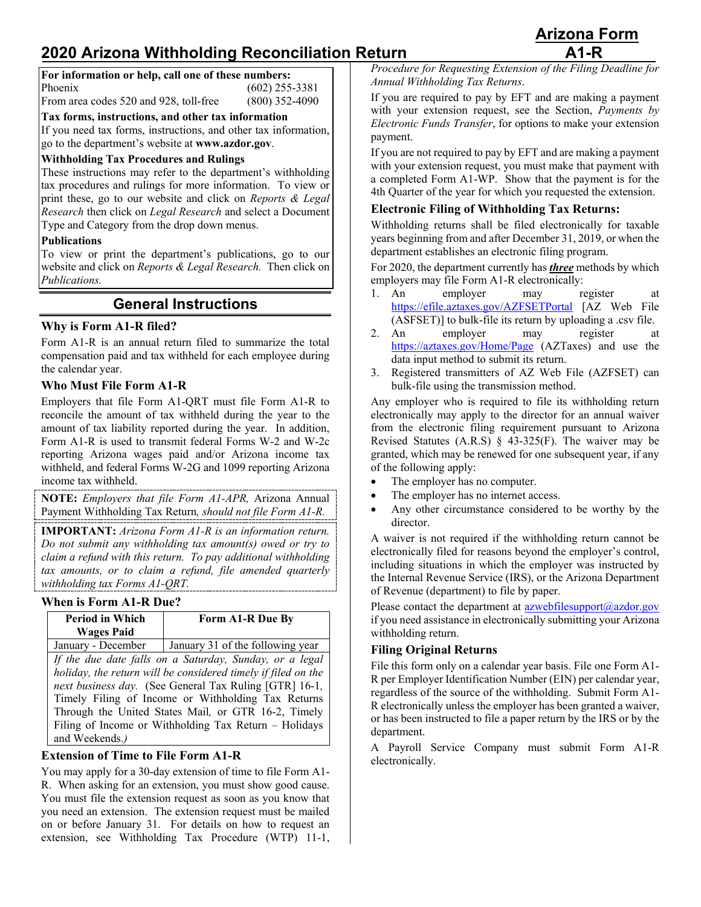# **2020 Arizona Withholding Reconciliation Return A1-R**

| For information or help, call one of these numbers: |                  |
|-----------------------------------------------------|------------------|
| Phoenix                                             | $(602)$ 255-3381 |
| From area codes 520 and 928, toll-free              | $(800)$ 352-4090 |

**Tax forms, instructions, and other tax information**

If you need tax forms, instructions, and other tax information, go to the department's website at **www.azdor.gov**.

#### **Withholding Tax Procedures and Rulings**

These instructions may refer to the department's withholding tax procedures and rulings for more information. To view or print these, go to our website and click on *Reports & Legal Research* then click on *Legal Research* and select a Document Type and Category from the drop down menus.

#### **Publications**

To view or print the department's publications, go to our website and click on *Reports & Legal Research.* Then click on *Publications.*

## **General Instructions**

#### **Why is Form A1-R filed?**

Form A1-R is an annual return filed to summarize the total compensation paid and tax withheld for each employee during the calendar year.

#### **Who Must File Form A1-R**

Employers that file Form A1-QRT must file Form A1-R to reconcile the amount of tax withheld during the year to the amount of tax liability reported during the year. In addition, Form A1-R is used to transmit federal Forms W-2 and W-2c reporting Arizona wages paid and/or Arizona income tax withheld, and federal Forms W-2G and 1099 reporting Arizona income tax withheld.

**NOTE:** *Employers that file Form A1-APR,* Arizona Annual Payment Withholding Tax Return*, should not file Form A1-R.*

**IMPORTANT:** *Arizona Form A1-R is an information return. Do not submit any withholding tax amount(s) owed or try to claim a refund with this return. To pay additional withholding tax amounts, or to claim a refund, file amended quarterly withholding tax Forms A1-QRT.*

#### **When is Form A1-R Due?**

| <b>Period in Which</b>                                        | Form A1-R Due By                 |  |
|---------------------------------------------------------------|----------------------------------|--|
| <b>Wages Paid</b>                                             |                                  |  |
| January - December                                            | January 31 of the following year |  |
| If the due date falls on a Saturday, Sunday, or a legal       |                                  |  |
| holiday, the return will be considered timely if filed on the |                                  |  |
| next business day. (See General Tax Ruling [GTR] 16-1,        |                                  |  |
| Timely Filing of Income or Withholding Tax Returns            |                                  |  |
| Through the United States Mail, or GTR 16-2, Timely           |                                  |  |
| Filing of Income or Withholding Tax Return - Holidays         |                                  |  |
| and Weekends.)                                                |                                  |  |

#### **Extension of Time to File Form A1-R**

You may apply for a 30-day extension of time to file Form A1- R. When asking for an extension, you must show good cause. You must file the extension request as soon as you know that you need an extension. The extension request must be mailed on or before January 31. For details on how to request an extension, see Withholding Tax Procedure (WTP) 11-1,

*Procedure for Requesting Extension of the Filing Deadline for Annual Withholding Tax Returns*.

If you are required to pay by EFT and are making a payment with your extension request, see the Section, *Payments by Electronic Funds Transfer*, for options to make your extension payment.

If you are not required to pay by EFT and are making a payment with your extension request, you must make that payment with a completed Form A1-WP. Show that the payment is for the 4th Quarter of the year for which you requested the extension.

#### **Electronic Filing of Withholding Tax Returns:**

Withholding returns shall be filed electronically for taxable years beginning from and after December 31, 2019, or when the department establishes an electronic filing program.

For 2020, the department currently has *three* methods by which employers may file Form A1-R electronically:

- 1. An employer may register at <https://efile.aztaxes.gov/AZFSETPortal> [AZ Web File (ASFSET)] to bulk-file its return by uploading a .csv file.
- 2. An employer may register at <https://aztaxes.gov/Home/Page> (AZTaxes) and use the data input method to submit its return.
- 3. Registered transmitters of AZ Web File (AZFSET) can bulk-file using the transmission method.

Any employer who is required to file its withholding return electronically may apply to the director for an annual waiver from the electronic filing requirement pursuant to Arizona Revised Statutes  $(A.R.S) \S 43-325(F)$ . The waiver may be granted, which may be renewed for one subsequent year, if any of the following apply:

- The employer has no computer.
- The employer has no internet access.
- Any other circumstance considered to be worthy by the director.

A waiver is not required if the withholding return cannot be electronically filed for reasons beyond the employer's control, including situations in which the employer was instructed by the Internal Revenue Service (IRS), or the Arizona Department of Revenue (department) to file by paper.

Please contact the department at [azwebfilesupport@azdor.gov](mailto:azwebfilesupport@azdor.gov) if you need assistance in electronically submitting your Arizona withholding return.

#### **Filing Original Returns**

File this form only on a calendar year basis. File one Form A1- R per Employer Identification Number (EIN) per calendar year, regardless of the source of the withholding. Submit Form A1- R electronically unless the employer has been granted a waiver, or has been instructed to file a paper return by the IRS or by the department.

A Payroll Service Company must submit Form A1-R electronically.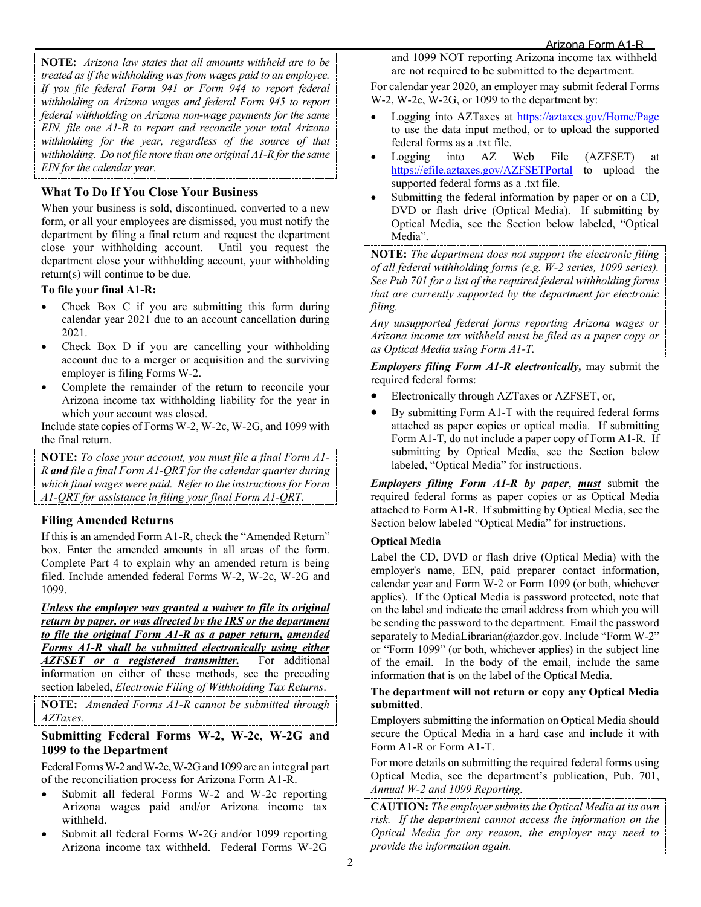**NOTE:** *Arizona law states that all amounts withheld are to be treated as if the withholding was from wages paid to an employee. If you file federal Form 941 or Form 944 to report federal withholding on Arizona wages and federal Form 945 to report federal withholding on Arizona non-wage payments for the same EIN, file one A1-R to report and reconcile your total Arizona withholding for the year, regardless of the source of that withholding. Do not file more than one original A1-R for the same EIN for the calendar year.* 

## **What To Do If You Close Your Business**

When your business is sold, discontinued, converted to a new form, or all your employees are dismissed, you must notify the department by filing a final return and request the department close your withholding account. Until you request the department close your withholding account, your withholding return(s) will continue to be due.

#### **To file your final A1-R:**

- Check Box C if you are submitting this form during calendar year 2021 due to an account cancellation during 2021.
- Check Box D if you are cancelling your withholding account due to a merger or acquisition and the surviving employer is filing Forms W-2.
- Complete the remainder of the return to reconcile your Arizona income tax withholding liability for the year in which your account was closed.

Include state copies of Forms W-2, W-2c, W-2G, and 1099 with the final return.

**NOTE:** *To close your account, you must file a final Form A1- R and file a final Form A1-QRT for the calendar quarter during which final wages were paid. Refer to the instructions for Form A1-QRT for assistance in filing your final Form A1-QRT.* 

### **Filing Amended Returns**

If this is an amended Form A1-R, check the "Amended Return" box. Enter the amended amounts in all areas of the form. Complete Part 4 to explain why an amended return is being filed. Include amended federal Forms W-2, W-2c, W-2G and 1099.

*Unless the employer was granted a waiver to file its original return by paper, or was directed by the IRS or the department to file the original Form A1-R as a paper return, amended Forms A1-R shall be submitted electronically using either AZFSET* or a registered transmitter. information on either of these methods, see the preceding section labeled, *Electronic Filing of Withholding Tax Returns*.

**NOTE:** *Amended Forms A1-R cannot be submitted through AZTaxes.* 

#### **Submitting Federal Forms W-2, W-2c, W-2G and 1099 to the Department**

Federal Forms W-2 and W-2c, W-2G and 1099 are an integral part of the reconciliation process for Arizona Form A1-R.

- Submit all federal Forms W-2 and W-2c reporting Arizona wages paid and/or Arizona income tax withheld.
- Submit all federal Forms W-2G and/or 1099 reporting Arizona income tax withheld. Federal Forms W-2G

and 1099 NOT reporting Arizona income tax withheld are not required to be submitted to the department.

For calendar year 2020, an employer may submit federal Forms W-2, W-2c, W-2G, or 1099 to the department by:

- Logging into AZTaxes at<https://aztaxes.gov/Home/Page> to use the data input method, or to upload the supported federal forms as a .txt file.
- Logging into AZ Web File (AZFSET) at <https://efile.aztaxes.gov/AZFSETPortal> to upload the supported federal forms as a .txt file.
- Submitting the federal information by paper or on a CD, DVD or flash drive (Optical Media). If submitting by Optical Media, see the Section below labeled, "Optical Media".

**NOTE:** *The department does not support the electronic filing of all federal withholding forms (e.g. W-2 series, 1099 series). See Pub 701 for a list of the required federal withholding forms that are currently supported by the department for electronic filing.*

*Any unsupported federal forms reporting Arizona wages or Arizona income tax withheld must be filed as a paper copy or as Optical Media using Form A1-T.*

*Employers filing Form A1-R electronically,* may submit the required federal forms:

- Electronically through AZTaxes or AZFSET, or,
- By submitting Form A1-T with the required federal forms attached as paper copies or optical media. If submitting Form A1-T, do not include a paper copy of Form A1-R. If submitting by Optical Media, see the Section below labeled, "Optical Media" for instructions.

*Employers filing Form A1-R by paper*, *must* submit the required federal forms as paper copies or as Optical Media attached to Form A1-R. If submitting by Optical Media, see the Section below labeled "Optical Media" for instructions.

#### **Optical Media**

Label the CD, DVD or flash drive (Optical Media) with the employer's name, EIN, paid preparer contact information, calendar year and Form W-2 or Form 1099 (or both, whichever applies). If the Optical Media is password protected, note that on the label and indicate the email address from which you will be sending the password to the department. Email the password separately to MediaLibrarian@azdor.gov. Include "Form W-2" or "Form 1099" (or both, whichever applies) in the subject line of the email. In the body of the email, include the same information that is on the label of the Optical Media.

#### **The department will not return or copy any Optical Media submitted**.

Employers submitting the information on Optical Media should secure the Optical Media in a hard case and include it with Form A1-R or Form A1-T.

For more details on submitting the required federal forms using Optical Media, see the department's publication, Pub. 701, *Annual W-2 and 1099 Reporting.*

**CAUTION:** *The employer submits the Optical Media at its own risk. If the department cannot access the information on the Optical Media for any reason, the employer may need to provide the information again.*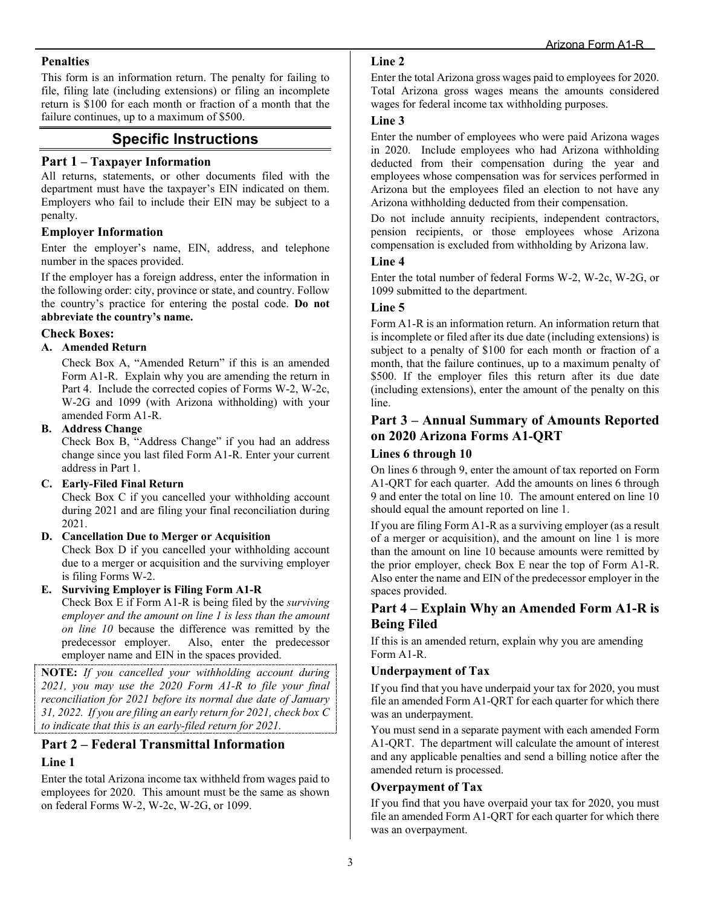#### **Penalties**

This form is an information return. The penalty for failing to file, filing late (including extensions) or filing an incomplete return is \$100 for each month or fraction of a month that the failure continues, up to a maximum of \$500.

## **Specific Instructions**

#### **Part 1 – Taxpayer Information**

All returns, statements, or other documents filed with the department must have the taxpayer's EIN indicated on them. Employers who fail to include their EIN may be subject to a penalty.

#### **Employer Information**

Enter the employer's name, EIN, address, and telephone number in the spaces provided.

If the employer has a foreign address, enter the information in the following order: city, province or state, and country. Follow the country's practice for entering the postal code. **Do not abbreviate the country's name.**

#### **Check Boxes:**

#### **A. Amended Return**

Check Box A, "Amended Return" if this is an amended Form A1-R. Explain why you are amending the return in Part 4. Include the corrected copies of Forms W-2, W-2c, W-2G and 1099 (with Arizona withholding) with your amended Form A1-R.

#### **B. Address Change**

Check Box B, "Address Change" if you had an address change since you last filed Form A1-R. Enter your current address in Part 1.

#### **C. Early-Filed Final Return**

Check Box C if you cancelled your withholding account during 2021 and are filing your final reconciliation during 2021.

#### **D. Cancellation Due to Merger or Acquisition**

Check Box D if you cancelled your withholding account due to a merger or acquisition and the surviving employer is filing Forms W-2.

**E. Surviving Employer is Filing Form A1-R**

Check Box E if Form A1-R is being filed by the *surviving employer and the amount on line 1 is less than the amount on line 10* because the difference was remitted by the predecessor employer. Also, enter the predecessor employer name and EIN in the spaces provided.

**NOTE:** *If you cancelled your withholding account during 2021, you may use the 2020 Form A1-R to file your final reconciliation for 2021 before its normal due date of January 31, 2022. If you are filing an early return for 2021, check box C to indicate that this is an early-filed return for 2021.* 

## **Part 2 – Federal Transmittal Information**

#### **Line 1**

Enter the total Arizona income tax withheld from wages paid to employees for 2020. This amount must be the same as shown on federal Forms W-2, W-2c, W-2G, or 1099.

#### **Line 2**

Enter the total Arizona gross wages paid to employees for 2020. Total Arizona gross wages means the amounts considered wages for federal income tax withholding purposes.

#### **Line 3**

Enter the number of employees who were paid Arizona wages in 2020. Include employees who had Arizona withholding deducted from their compensation during the year and employees whose compensation was for services performed in Arizona but the employees filed an election to not have any Arizona withholding deducted from their compensation.

Do not include annuity recipients, independent contractors, pension recipients, or those employees whose Arizona compensation is excluded from withholding by Arizona law.

#### **Line 4**

Enter the total number of federal Forms W-2, W-2c, W-2G, or 1099 submitted to the department.

#### **Line 5**

Form A1-R is an information return. An information return that is incomplete or filed after its due date (including extensions) is subject to a penalty of \$100 for each month or fraction of a month, that the failure continues, up to a maximum penalty of \$500. If the employer files this return after its due date (including extensions), enter the amount of the penalty on this line.

## **Part 3 – Annual Summary of Amounts Reported on 2020 Arizona Forms A1-QRT**

#### **Lines 6 through 10**

On lines 6 through 9, enter the amount of tax reported on Form A1-QRT for each quarter. Add the amounts on lines 6 through 9 and enter the total on line 10. The amount entered on line 10 should equal the amount reported on line 1.

If you are filing Form A1-R as a surviving employer (as a result of a merger or acquisition), and the amount on line 1 is more than the amount on line 10 because amounts were remitted by the prior employer, check Box E near the top of Form A1-R. Also enter the name and EIN of the predecessor employer in the spaces provided.

### **Part 4 – Explain Why an Amended Form A1-R is Being Filed**

If this is an amended return, explain why you are amending Form A1-R.

#### **Underpayment of Tax**

If you find that you have underpaid your tax for 2020, you must file an amended Form A1-QRT for each quarter for which there was an underpayment.

You must send in a separate payment with each amended Form A1-QRT. The department will calculate the amount of interest and any applicable penalties and send a billing notice after the amended return is processed.

#### **Overpayment of Tax**

If you find that you have overpaid your tax for 2020, you must file an amended Form A1-QRT for each quarter for which there was an overpayment.